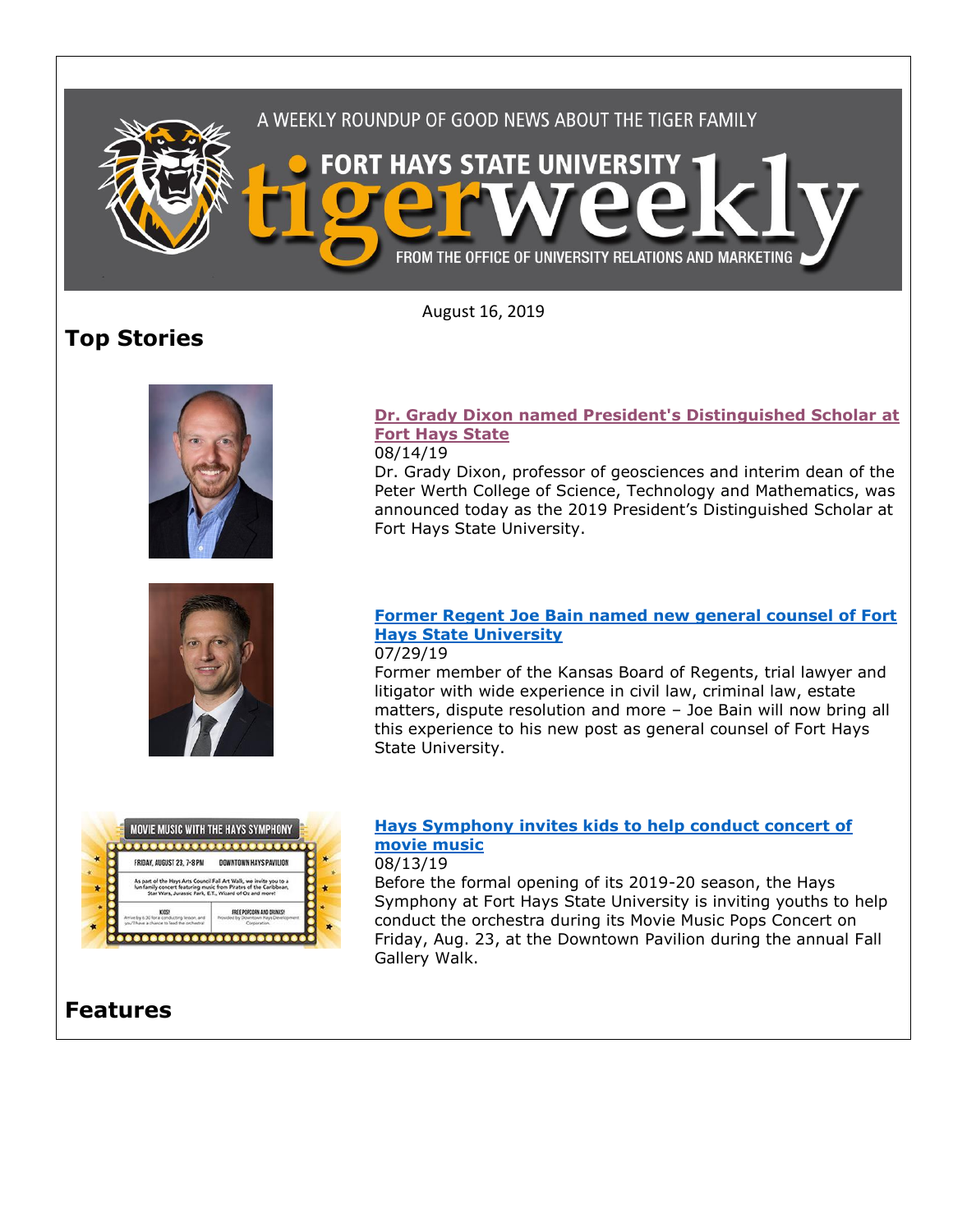

August 16, 2019

# **Top Stories**





#### **[Dr. Grady Dixon named President's Distinguished Scholar at](https://www.fhsu.edu/news/2019/08/dr.-grady-dixon-named-presidents-distinguished-scholar-at-fort-hays-state)  [Fort Hays State](https://www.fhsu.edu/news/2019/08/dr.-grady-dixon-named-presidents-distinguished-scholar-at-fort-hays-state)** 08/14/19

Dr. Grady Dixon, professor of geosciences and interim dean of the Peter Werth College of Science, Technology and Mathematics, was announced today as the 2019 President's Distinguished Scholar at Fort Hays State University.

### **[Former Regent Joe Bain named new general counsel of Fort](https://www.fhsu.edu/news/2019/07/president-bain-new-counsel)  [Hays State University](https://www.fhsu.edu/news/2019/07/president-bain-new-counsel)**

07/29/19

Former member of the Kansas Board of Regents, trial lawyer and litigator with wide experience in civil law, criminal law, estate matters, dispute resolution and more – Joe Bain will now bring all this experience to his new post as general counsel of Fort Hays State University.



### **[Hays Symphony invites kids to help conduct concert of](https://www.fhsu.edu/news/2019/08/hays-symphony-invites-kids-to-help-conduct-concert-of-movie-music)  [movie music](https://www.fhsu.edu/news/2019/08/hays-symphony-invites-kids-to-help-conduct-concert-of-movie-music)**

08/13/19

Before the formal opening of its 2019-20 season, the Hays Symphony at Fort Hays State University is inviting youths to help conduct the orchestra during its Movie Music Pops Concert on Friday, Aug. 23, at the Downtown Pavilion during the annual Fall Gallery Walk.

# **Features**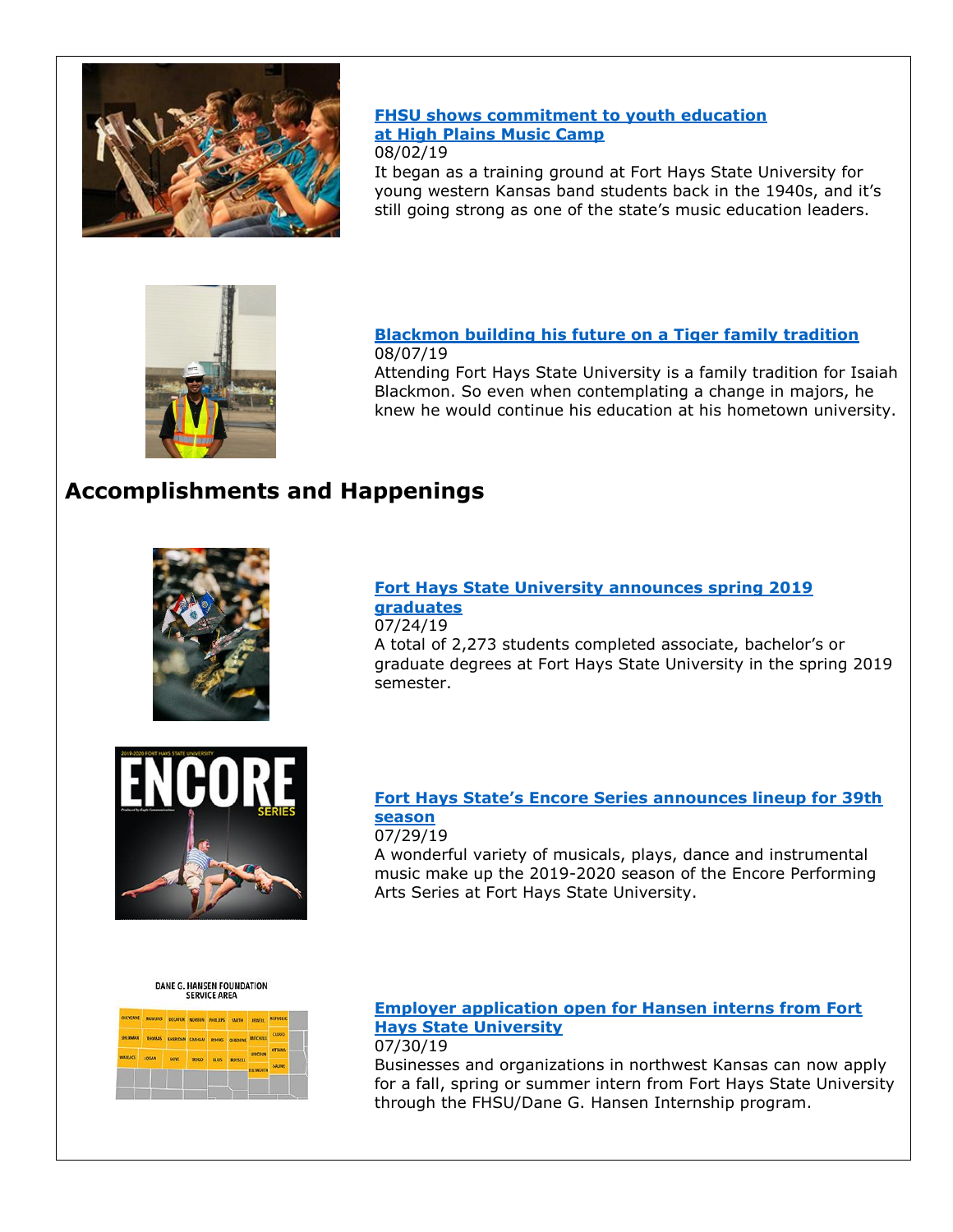

### **[FHSU shows commitment to youth education](https://www.fhsu.edu/news/2019/08/feature-music-camp-2019) [at High Plains Music Camp](https://www.fhsu.edu/news/2019/08/feature-music-camp-2019)**

#### 08/02/19

It began as a training ground at Fort Hays State University for young western Kansas band students back in the 1940s, and it's still going strong as one of the state's music education leaders.



# **[Blackmon building his future on a Tiger family tradition](https://www.fhsu.edu/news/2019/08/blackmon-internship-2019)** 08/07/19

Attending Fort Hays State University is a family tradition for Isaiah Blackmon. So even when contemplating a change in majors, he knew he would continue his education at his hometown university.

# **Accomplishments and Happenings**



### **[Fort Hays State University announces spring 2019](https://www.fhsu.edu/news/2019/07/fort-hays-state-university-announces-spring-2019-graduates)  [graduates](https://www.fhsu.edu/news/2019/07/fort-hays-state-university-announces-spring-2019-graduates)**

07/24/19 A total of 2,273 students completed associate, bachelor's or graduate degrees at Fort Hays State University in the spring 2019 semester.



# **[Fort Hays State's Encore Series announces lineup for 39th](https://www.fhsu.edu/news/2019/07/encore-2019-20-season)  [season](https://www.fhsu.edu/news/2019/07/encore-2019-20-season)**

### 07/29/19

A wonderful variety of musicals, plays, dance and instrumental music make up the 2019-2020 season of the Encore Performing Arts Series at Fort Hays State University.

DANE G. HANSEN FOUNDATION **SERVICE AREA** 



#### **[Employer application open for Hansen interns from Fort](https://www.fhsu.edu/news/2019/07/career-services-hansen-interns-19-20)  [Hays State University](https://www.fhsu.edu/news/2019/07/career-services-hansen-interns-19-20)** 07/30/19

Businesses and organizations in northwest Kansas can now apply for a fall, spring or summer intern from Fort Hays State University through the FHSU/Dane G. Hansen Internship program.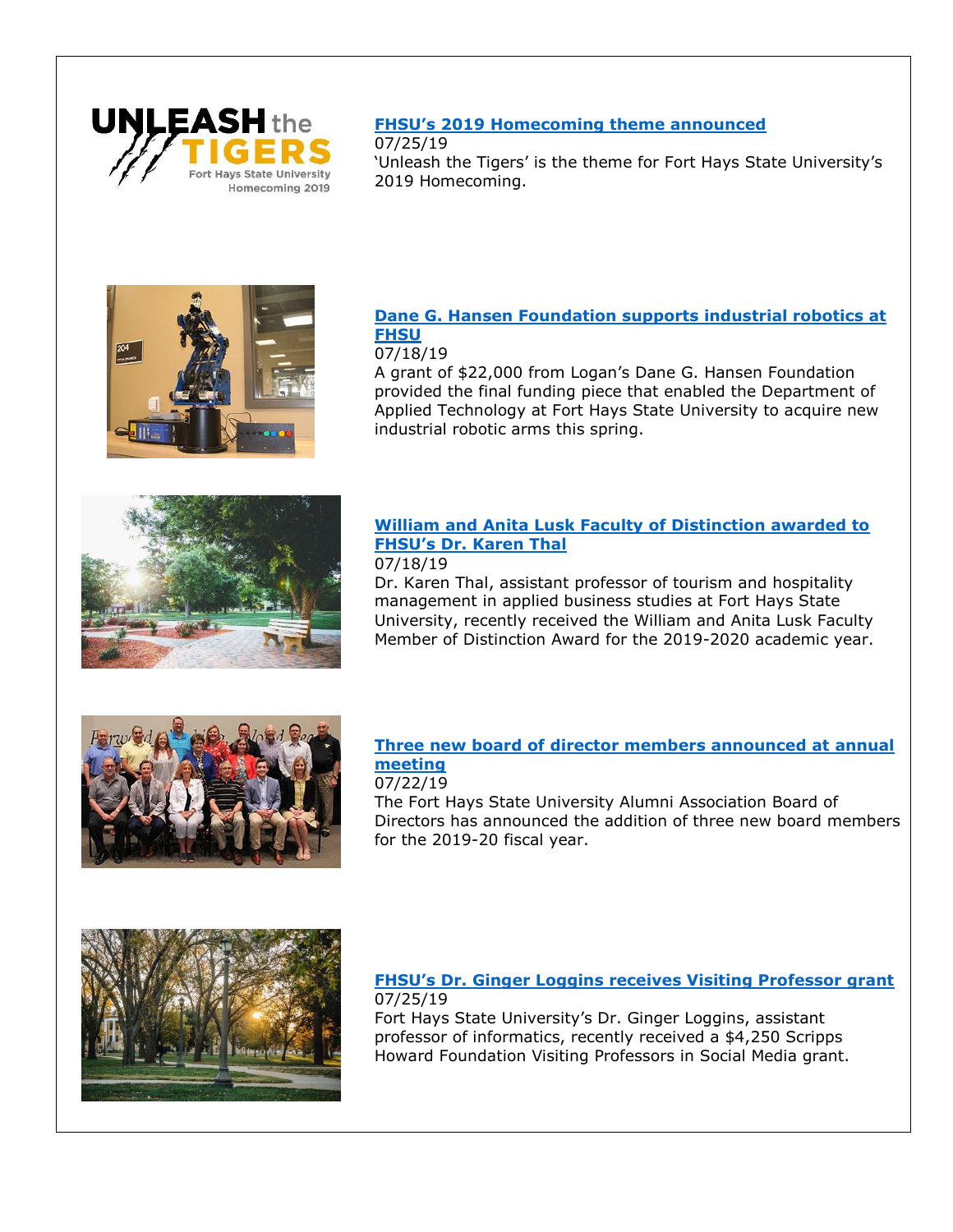

# **[FHSU's 2019 Homecoming theme announced](https://www.fhsu.edu/news/2019/07/fhsus-2019-homecoming-theme-announced)**

07/25/19 'Unleash the Tigers' is the theme for Fort Hays State University's 2019 Homecoming.



### **[Dane G. Hansen Foundation supports industrial robotics at](https://www.fhsu.edu/news/2019/07/dane-g.-hansen-foundation-supports-industrial-robotics-at-fhsu)  [FHSU](https://www.fhsu.edu/news/2019/07/dane-g.-hansen-foundation-supports-industrial-robotics-at-fhsu)**

#### 07/18/19

A grant of \$22,000 from Logan's Dane G. Hansen Foundation provided the final funding piece that enabled the Department of Applied Technology at Fort Hays State University to acquire new industrial robotic arms this spring.



# **[William and Anita Lusk Faculty of Distinction awarded to](https://www.fhsu.edu/news/2019/07/william-and-anita-lusk-faculty-of-distinction-awarded-to-fhsus-dr.-karen-thal)  [FHSU's Dr. Karen Thal](https://www.fhsu.edu/news/2019/07/william-and-anita-lusk-faculty-of-distinction-awarded-to-fhsus-dr.-karen-thal)**

#### 07/18/19

Dr. Karen Thal, assistant professor of tourism and hospitality management in applied business studies at Fort Hays State University, recently received the William and Anita Lusk Faculty Member of Distinction Award for the 2019-2020 academic year.



# **[Three new board of director members announced at annual](https://www.fhsu.edu/news/2019/07/three-new-board-of-director-members)  [meeting](https://www.fhsu.edu/news/2019/07/three-new-board-of-director-members)**

#### 07/22/19 The Fort Hays State University Alumni Association Board of Directors has announced the addition of three new board members

for the 2019-20 fiscal year.



**[FHSU's Dr. Ginger Loggins receives Visiting Professor grant](https://www.fhsu.edu/news/2019/07/fhsus-dr.-ginger-loggins-receives-visiting-professor-grant)** 07/25/19 Fort Hays State University's Dr. Ginger Loggins, assistant

professor of informatics, recently received a \$4,250 Scripps Howard Foundation Visiting Professors in Social Media grant.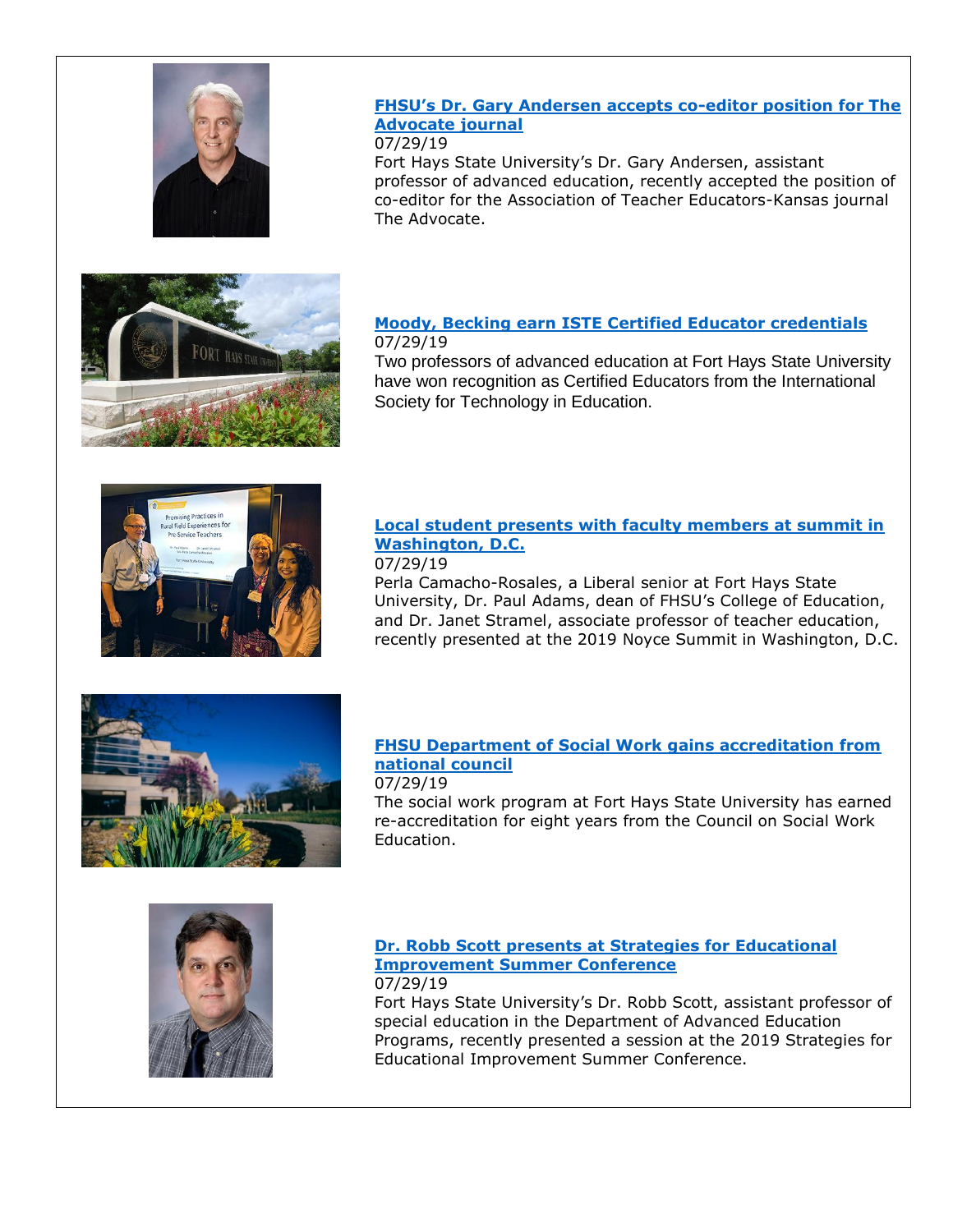

### **[FHSU's Dr. Gary Andersen accepts co](https://www.fhsu.edu/news/2019/07/coe-andersen-editorial-post)-editor position for The [Advocate journal](https://www.fhsu.edu/news/2019/07/coe-andersen-editorial-post)**

07/29/19

Fort Hays State University's Dr. Gary Andersen, assistant professor of advanced education, recently accepted the position of co-editor for the Association of Teacher Educators-Kansas journal The Advocate.

### **[Moody, Becking earn ISTE Certified Educator credentials](https://www.fhsu.edu/news/2019/07/coe-moody-becking-iste)** 07/29/19

Two professors of advanced education at Fort Hays State University have won recognition as Certified Educators from the International Society for Technology in Education.



# **[Local student presents with faculty members at summit in](https://www.fhsu.edu/news/2019/07/coe-noyce-presentation)  [Washington, D.C.](https://www.fhsu.edu/news/2019/07/coe-noyce-presentation)**

#### 07/29/19

Perla Camacho-Rosales, a Liberal senior at Fort Hays State University, Dr. Paul Adams, dean of FHSU's College of Education, and Dr. Janet Stramel, associate professor of teacher education, recently presented at the 2019 Noyce Summit in Washington, D.C.



### **[FHSU Department of Social Work gains accreditation from](https://www.fhsu.edu/news/2019/07/social-work-accreditation-2019)  [national council](https://www.fhsu.edu/news/2019/07/social-work-accreditation-2019)**

#### 07/29/19

The social work program at Fort Hays State University has earned re-accreditation for eight years from the Council on Social Work Education.



#### **[Dr. Robb Scott presents at Strategies for Educational](https://www.fhsu.edu/news/2019/07/coe-scott-conference)  [Improvement Summer Conference](https://www.fhsu.edu/news/2019/07/coe-scott-conference)** 07/29/19

Fort Hays State University's Dr. Robb Scott, assistant professor of special education in the Department of Advanced Education Programs, recently presented a session at the 2019 Strategies for Educational Improvement Summer Conference.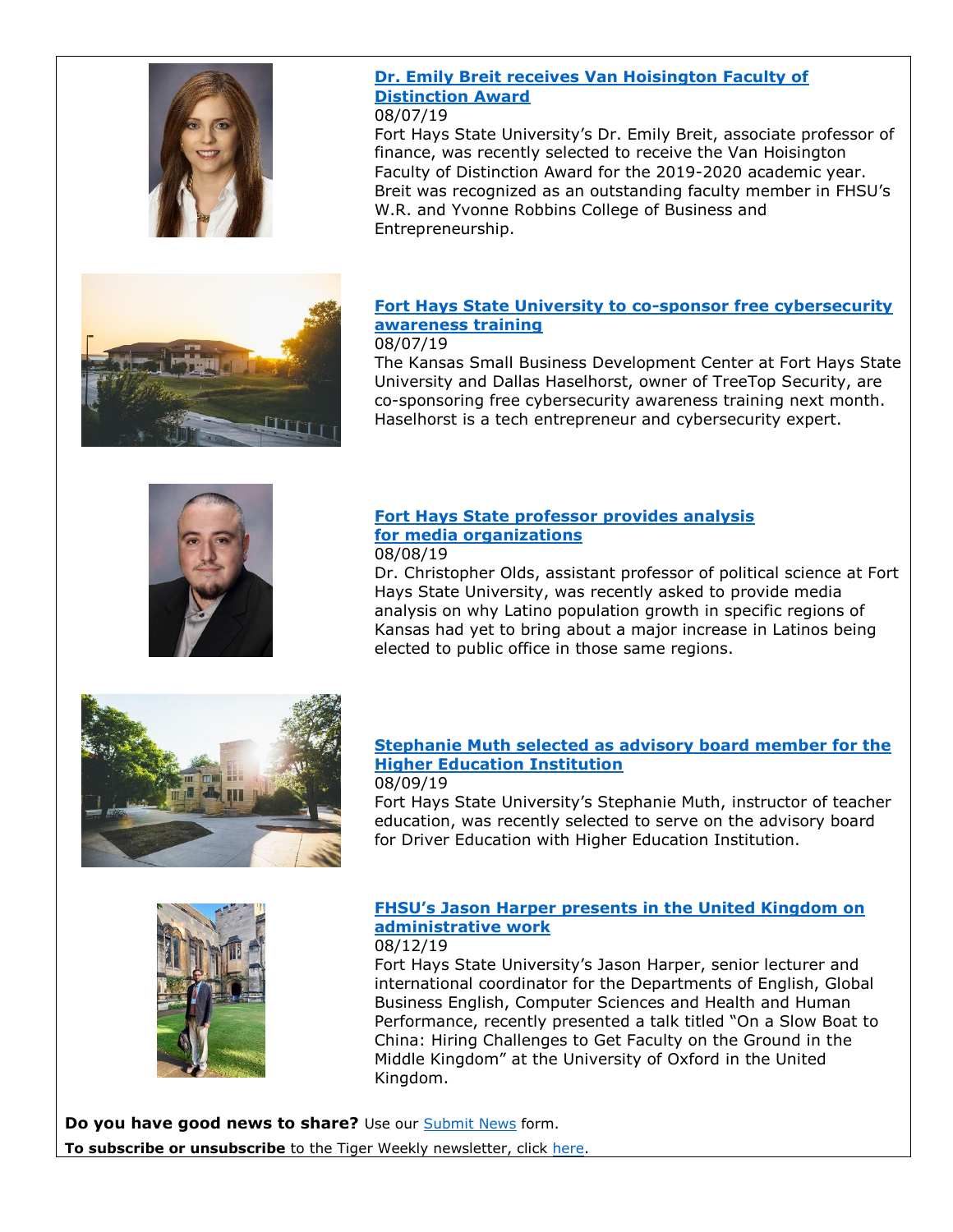

### **Dr. Emily Breit [receives Van Hoisington Faculty of](https://www.fhsu.edu/news/2019/08/cobe-breit-award)  [Distinction Award](https://www.fhsu.edu/news/2019/08/cobe-breit-award)**

#### 08/07/19

Fort Hays State University's Dr. Emily Breit, associate professor of finance, was recently selected to receive the Van Hoisington Faculty of Distinction Award for the 2019-2020 academic year. Breit was recognized as an outstanding faculty member in FHSU's W.R. and Yvonne Robbins College of Business and Entrepreneurship.

#### **[Fort Hays State University to co-sponsor free cybersecurity](https://www.fhsu.edu/news/2019/08/fhsu-to-co-sponsor-free-cybersecurity-awareness-training)  [awareness training](https://www.fhsu.edu/news/2019/08/fhsu-to-co-sponsor-free-cybersecurity-awareness-training)** 08/07/19

The Kansas Small Business Development Center at Fort Hays State University and Dallas Haselhorst, owner of TreeTop Security, are co-sponsoring free cybersecurity awareness training next month. Haselhorst is a tech entrepreneur and cybersecurity expert.



#### **[Fort Hays State professor provides analysis](https://www.fhsu.edu/news/2019/08/polysci-olds-media-interviews) [for media organizations](https://www.fhsu.edu/news/2019/08/polysci-olds-media-interviews)** 08/08/19

Dr. Christopher Olds, assistant professor of political science at Fort Hays State University, was recently asked to provide media analysis on why Latino population growth in specific regions of Kansas had yet to bring about a major increase in Latinos being elected to public office in those same regions.



# **[Stephanie Muth selected as advisory board member for the](https://www.fhsu.edu/news/2019/08/teacher-ed-muth-appointment)  [Higher Education Institution](https://www.fhsu.edu/news/2019/08/teacher-ed-muth-appointment)**

#### 08/09/19

Fort Hays State University's Stephanie Muth, instructor of teacher education, was recently selected to serve on the advisory board for Driver Education with Higher Education Institution.



### **[FHSU's Jason Harper presents in the United Kingdom on](https://www.fhsu.edu/news/2019/08/fhsus-jason-harper-presents-in-the-united-kingdom-on-administrative-work)  [administrative work](https://www.fhsu.edu/news/2019/08/fhsus-jason-harper-presents-in-the-united-kingdom-on-administrative-work)**

08/12/19

Fort Hays State University's Jason Harper, senior lecturer and international coordinator for the Departments of English, Global Business English, Computer Sciences and Health and Human Performance, recently presented a talk titled "On a Slow Boat to China: Hiring Challenges to Get Faculty on the Ground in the Middle Kingdom" at the University of Oxford in the United Kingdom.

**Do you have good news to share?** Use our [Submit News](http://www.fhsu.edu/submit-news/) form. **To subscribe or unsubscribe** to the Tiger Weekly newsletter, click [here.](https://scatcat.fhsu.edu/mailman/listinfo/tigerweekly)